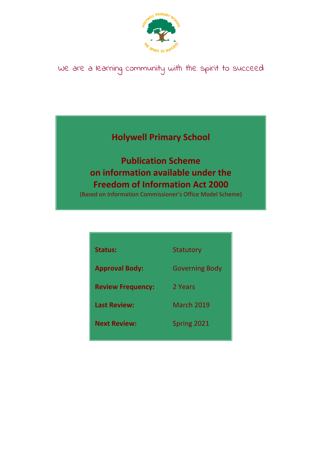

# We are a learning community with the spirit to succeed

# **Holywell Primary School**

# **Publication Scheme on information available under the Freedom of Information Act 2000**

(Based on Information Commissioner's Office Model Scheme)

| <b>Status:</b>           | <b>Statutory</b>      |
|--------------------------|-----------------------|
| <b>Approval Body:</b>    | <b>Governing Body</b> |
| <b>Review Frequency:</b> | 2 Years               |
| <b>Last Review:</b>      | <b>March 2019</b>     |
| <b>Next Review:</b>      | Spring 2021           |
|                          |                       |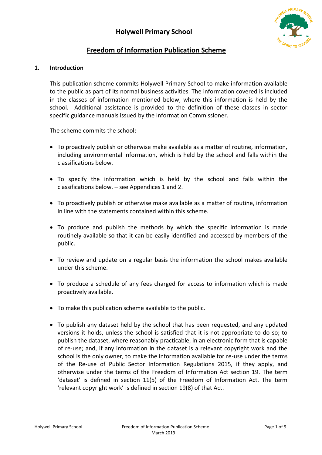

# **Freedom of Information Publication Scheme**

## **1. Introduction**

This publication scheme commits Holywell Primary School to make information available to the public as part of its normal business activities. The information covered is included in the classes of information mentioned below, where this information is held by the school. Additional assistance is provided to the definition of these classes in sector specific guidance manuals issued by the Information Commissioner.

The scheme commits the school:

- To proactively publish or otherwise make available as a matter of routine, information, including environmental information, which is held by the school and falls within the classifications below.
- To specify the information which is held by the school and falls within the classifications below. – see Appendices 1 and 2.
- To proactively publish or otherwise make available as a matter of routine, information in line with the statements contained within this scheme.
- To produce and publish the methods by which the specific information is made routinely available so that it can be easily identified and accessed by members of the public.
- To review and update on a regular basis the information the school makes available under this scheme.
- To produce a schedule of any fees charged for access to information which is made proactively available.
- To make this publication scheme available to the public.
- To publish any dataset held by the school that has been requested, and any updated versions it holds, unless the school is satisfied that it is not appropriate to do so; to publish the dataset, where reasonably practicable, in an electronic form that is capable of re-use; and, if any information in the dataset is a relevant copyright work and the school is the only owner, to make the information available for re-use under the terms of the Re-use of Public Sector Information Regulations 2015, if they apply, and otherwise under the terms of the Freedom of Information Act section 19. The term 'dataset' is defined in section 11(5) of the Freedom of Information Act. The term 'relevant copyright work' is defined in section 19(8) of that Act.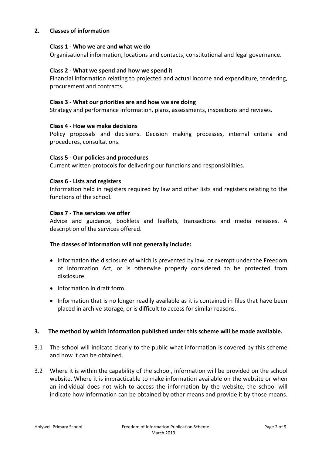#### **2. Classes of information**

#### **Class 1 - Who we are and what we do**

Organisational information, locations and contacts, constitutional and legal governance.

#### **Class 2 - What we spend and how we spend it**

Financial information relating to projected and actual income and expenditure, tendering, procurement and contracts.

#### **Class 3 - What our priorities are and how we are doing**

Strategy and performance information, plans, assessments, inspections and reviews.

#### **Class 4 - How we make decisions**

Policy proposals and decisions. Decision making processes, internal criteria and procedures, consultations.

#### **Class 5 - Our policies and procedures**

Current written protocols for delivering our functions and responsibilities.

#### **Class 6 - Lists and registers**

Information held in registers required by law and other lists and registers relating to the functions of the school.

#### **Class 7 - The services we offer**

Advice and guidance, booklets and leaflets, transactions and media releases. A description of the services offered.

#### **The classes of information will not generally include:**

- Information the disclosure of which is prevented by law, or exempt under the Freedom of Information Act, or is otherwise properly considered to be protected from disclosure.
- $\bullet$  Information in draft form.
- Information that is no longer readily available as it is contained in files that have been placed in archive storage, or is difficult to access for similar reasons.

#### **3. The method by which information published under this scheme will be made available.**

- 3.1 The school will indicate clearly to the public what information is covered by this scheme and how it can be obtained.
- 3.2 Where it is within the capability of the school, information will be provided on the school website. Where it is impracticable to make information available on the website or when an individual does not wish to access the information by the website, the school will indicate how information can be obtained by other means and provide it by those means.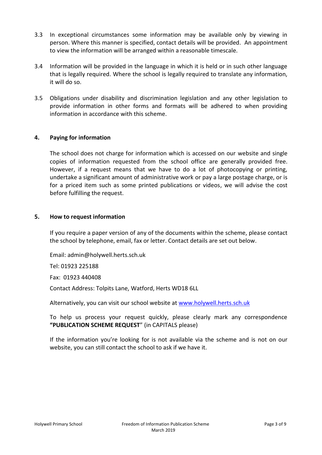- 3.3 In exceptional circumstances some information may be available only by viewing in person. Where this manner is specified, contact details will be provided. An appointment to view the information will be arranged within a reasonable timescale.
- 3.4 Information will be provided in the language in which it is held or in such other language that is legally required. Where the school is legally required to translate any information, it will do so.
- 3.5 Obligations under disability and discrimination legislation and any other legislation to provide information in other forms and formats will be adhered to when providing information in accordance with this scheme.

## **4. Paying for information**

The school does not charge for information which is accessed on our website and single copies of information requested from the school office are generally provided free. However, if a request means that we have to do a lot of photocopying or printing, undertake a significant amount of administrative work or pay a large postage charge, or is for a priced item such as some printed publications or videos, we will advise the cost before fulfilling the request.

#### **5. How to request information**

If you require a paper version of any of the documents within the scheme, please contact the school by telephone, email, fax or letter. Contact details are set out below.

Email: admin@holywell.herts.sch.uk

Tel: 01923 225188

Fax: 01923 440408

Contact Address: Tolpits Lane, Watford, Herts WD18 6LL

Alternatively, you can visit our school website at [www.holywell.herts.sch.uk](http://www.holywell.herts.sch.uk/)

To help us process your request quickly, please clearly mark any correspondence **"PUBLICATION SCHEME REQUEST**" (in CAPITALS please)

If the information you're looking for is not available via the scheme and is not on our website, you can still contact the school to ask if we have it.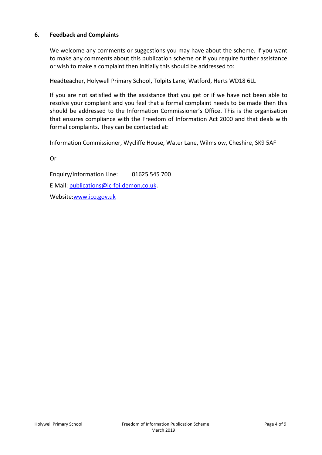### **6. Feedback and Complaints**

We welcome any comments or suggestions you may have about the scheme. If you want to make any comments about this publication scheme or if you require further assistance or wish to make a complaint then initially this should be addressed to:

Headteacher, Holywell Primary School, Tolpits Lane, Watford, Herts WD18 6LL

If you are not satisfied with the assistance that you get or if we have not been able to resolve your complaint and you feel that a formal complaint needs to be made then this should be addressed to the Information Commissioner's Office. This is the organisation that ensures compliance with the Freedom of Information Act 2000 and that deals with formal complaints. They can be contacted at:

Information Commissioner, Wycliffe House, Water Lane, Wilmslow, Cheshire, SK9 5AF

Or

Enquiry/Information Line: 01625 545 700

E Mail: [publications@ic-foi.demon.co.uk.](mailto:publications@ic-foi.demonco.uk)

Website[:www.ico.gov.uk](http://www.ico.gov.uk/)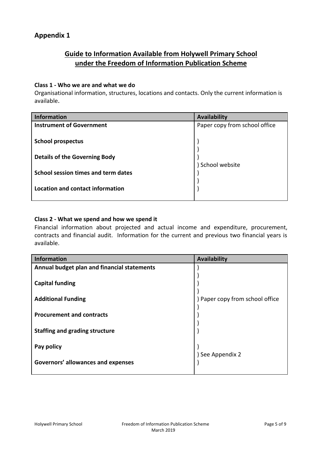# **Appendix 1**

# **Guide to Information Available from Holywell Primary School under the Freedom of Information Publication Scheme**

#### **Class 1 - Who we are and what we do**

Organisational information, structures, locations and contacts. Only the current information is available.

| <b>Information</b>                   | <b>Availability</b>           |
|--------------------------------------|-------------------------------|
| <b>Instrument of Government</b>      | Paper copy from school office |
|                                      |                               |
| <b>School prospectus</b>             |                               |
| <b>Details of the Governing Body</b> |                               |
|                                      | School website                |
| School session times and term dates  |                               |
|                                      |                               |
| Location and contact information     |                               |
|                                      |                               |

## **Class 2 - What we spend and how we spend it**

Financial information about projected and actual income and expenditure, procurement, contracts and financial audit. Information for the current and previous two financial years is available.

| <b>Information</b>                          | <b>Availability</b>           |
|---------------------------------------------|-------------------------------|
| Annual budget plan and financial statements |                               |
|                                             |                               |
| <b>Capital funding</b>                      |                               |
|                                             |                               |
| <b>Additional Funding</b>                   | Paper copy from school office |
|                                             |                               |
| <b>Procurement and contracts</b>            |                               |
|                                             |                               |
| <b>Staffing and grading structure</b>       |                               |
| Pay policy                                  |                               |
|                                             | See Appendix 2                |
| <b>Governors' allowances and expenses</b>   |                               |
|                                             |                               |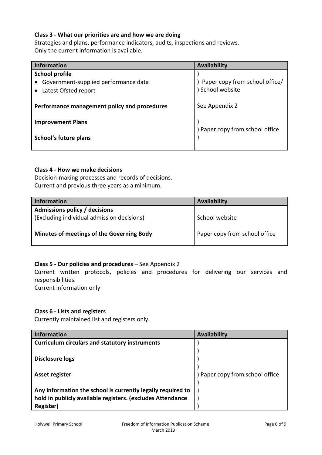## **Class 3 - What our priorities are and how we are doing**

Strategies and plans, performance indicators, audits, inspections and reviews. Only the current information is available.

| <b>Information</b>                           | <b>Availability</b>             |
|----------------------------------------------|---------------------------------|
| <b>School profile</b>                        |                                 |
| Government-supplied performance data         | Paper copy from school office/  |
| Latest Ofsted report                         | School website                  |
| Performance management policy and procedures | See Appendix 2                  |
| <b>Improvement Plans</b>                     | ) Paper copy from school office |
| School's future plans                        |                                 |

## **Class 4 - How we make decisions**

Decision-making processes and records of decisions. Current and previous three years as a minimum.

| <b>Information</b>                         | <b>Availability</b>           |
|--------------------------------------------|-------------------------------|
| Admissions policy / decisions              |                               |
| (Excluding individual admission decisions) | School website                |
|                                            |                               |
| Minutes of meetings of the Governing Body  | Paper copy from school office |
|                                            |                               |

## **Class 5 - Our policies and procedures** – See Appendix 2

Current written protocols, policies and procedures for delivering our services and responsibilities.

Current information only

#### **Class 6 - Lists and registers**

Currently maintained list and registers only.

| <b>Information</b>                                          | <b>Availability</b>           |
|-------------------------------------------------------------|-------------------------------|
| <b>Curriculum circulars and statutory instruments</b>       |                               |
|                                                             |                               |
| Disclosure logs                                             |                               |
|                                                             |                               |
| Asset register                                              | Paper copy from school office |
| Any information the school is currently legally required to |                               |
| hold in publicly available registers. (excludes Attendance  |                               |
| <b>Register)</b>                                            |                               |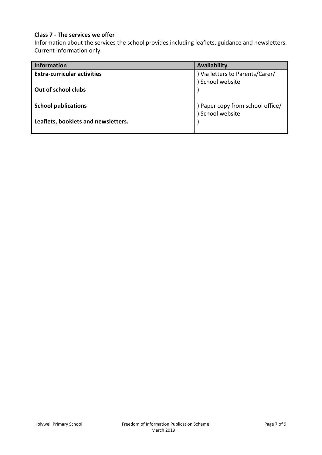## **Class 7 - The services we offer**

Information about the services the school provides including leaflets, guidance and newsletters. Current information only.

| <b>Information</b>                  | <b>Availability</b>              |
|-------------------------------------|----------------------------------|
| <b>Extra-curricular activities</b>  | ) Via letters to Parents/Carer/  |
|                                     | ) School website                 |
| Out of school clubs                 |                                  |
|                                     |                                  |
| <b>School publications</b>          | ) Paper copy from school office/ |
|                                     | ) School website                 |
| Leaflets, booklets and newsletters. |                                  |
|                                     |                                  |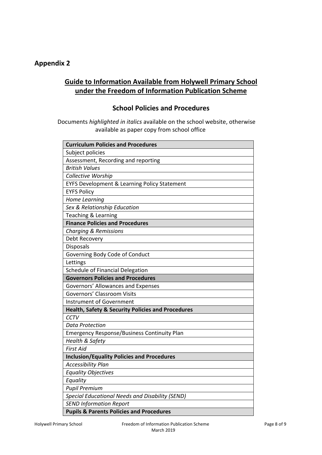# **Appendix 2**

# **Guide to Information Available from Holywell Primary School under the Freedom of Information Publication Scheme**

## **School Policies and Procedures**

Documents *highlighted in italics* available on the school website, otherwise available as paper copy from school office

| <b>Curriculum Policies and Procedures</b>                    |
|--------------------------------------------------------------|
| Subject policies                                             |
| Assessment, Recording and reporting                          |
| <b>British Values</b>                                        |
| Collective Worship                                           |
| EYFS Development & Learning Policy Statement                 |
| <b>EYFS Policy</b>                                           |
| <b>Home Learning</b>                                         |
| Sex & Relationship Education                                 |
| Teaching & Learning                                          |
| <b>Finance Policies and Procedures</b>                       |
| <b>Charging &amp; Remissions</b>                             |
| Debt Recovery                                                |
| Disposals                                                    |
| Governing Body Code of Conduct                               |
| Lettings                                                     |
| Schedule of Financial Delegation                             |
| <b>Governors Policies and Procedures</b>                     |
| Governors' Allowances and Expenses                           |
| <b>Governors' Classroom Visits</b>                           |
| <b>Instrument of Government</b>                              |
| <b>Health, Safety &amp; Security Policies and Procedures</b> |
| CCTV                                                         |
| <b>Data Protection</b>                                       |
| <b>Emergency Response/Business Continuity Plan</b>           |
| <b>Health &amp; Safety</b>                                   |
| <b>First Aid</b>                                             |
| <b>Inclusion/Equality Policies and Procedures</b>            |
| <b>Accessibility Plan</b>                                    |
| <b>Equality Objectives</b>                                   |
| Equality                                                     |
| <b>Pupil Premium</b>                                         |
| Special Educational Needs and Disability (SEND)              |
| <b>SEND Information Report</b>                               |
| <b>Pupils &amp; Parents Policies and Procedures</b>          |